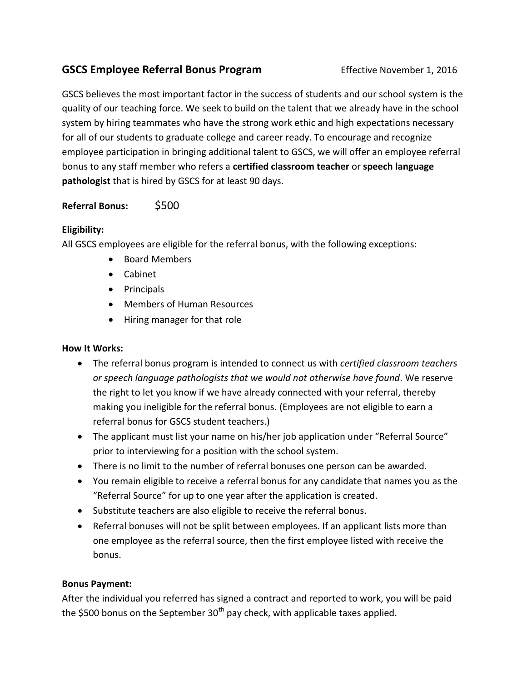# **GSCS Employee Referral Bonus Program** Effective November 1, 2016

GSCS believes the most important factor in the success of students and our school system is the quality of our teaching force. We seek to build on the talent that we already have in the school system by hiring teammates who have the strong work ethic and high expectations necessary for all of our students to graduate college and career ready. To encourage and recognize employee participation in bringing additional talent to GSCS, we will offer an employee referral bonus to any staff member who refers a **certified classroom teacher** or **speech language pathologist** that is hired by GSCS for at least 90 days.

## **Referral Bonus:** \$500

## **Eligibility:**

All GSCS employees are eligible for the referral bonus, with the following exceptions:

- Board Members
- Cabinet
- Principals
- Members of Human Resources
- Hiring manager for that role

## **How It Works:**

- The referral bonus program is intended to connect us with *certified classroom teachers or speech language pathologists that we would not otherwise have found*. We reserve the right to let you know if we have already connected with your referral, thereby making you ineligible for the referral bonus. (Employees are not eligible to earn a referral bonus for GSCS student teachers.)
- The applicant must list your name on his/her job application under "Referral Source" prior to interviewing for a position with the school system.
- There is no limit to the number of referral bonuses one person can be awarded.
- You remain eligible to receive a referral bonus for any candidate that names you as the "Referral Source" for up to one year after the application is created.
- Substitute teachers are also eligible to receive the referral bonus.
- Referral bonuses will not be split between employees. If an applicant lists more than one employee as the referral source, then the first employee listed with receive the bonus.

#### **Bonus Payment:**

After the individual you referred has signed a contract and reported to work, you will be paid the \$500 bonus on the September  $30<sup>th</sup>$  pay check, with applicable taxes applied.